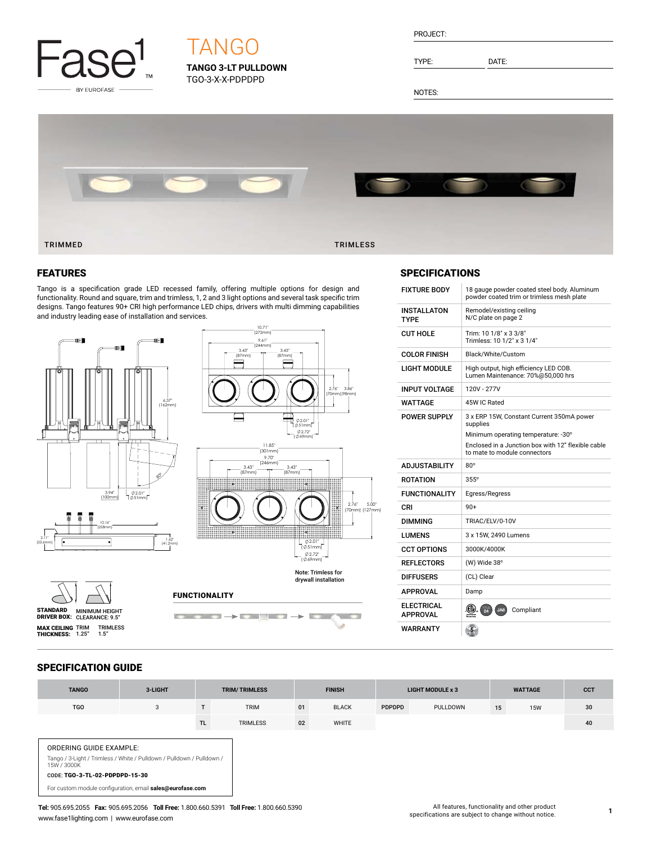

# **TANGO 3-LT PULLDOWN TANGO**

TGO-3-X-X-PDPDPD

| PROJECT: |  |
|----------|--|
|          |  |
|          |  |

TYPE: DATE:

NOTES:



## FEATURES

Tango is a specification grade LED recessed family, offering multiple options for design and functionality. Round and square, trim and trimless, 1, 2 and 3 light options and several task specific trim designs. Tango features 90+ CRI high performance LED chips, drivers with multi dimming capabilities and industry leading ease of installation and services.





# FUNCTIONALITY



# **SPECIFICATIONS**

| <b>FIXTURE BODY</b>                  | 18 gauge powder coated steel body. Aluminum<br>powder coated trim or trimless mesh plate |
|--------------------------------------|------------------------------------------------------------------------------------------|
| <b>INSTALLATON</b><br><b>TYPF</b>    | Remodel/existing ceiling<br>N/C plate on page 2                                          |
| <b>CUT HOLE</b>                      | Trim: 10 1/8" x 3 3/8"<br>Trimless: 10 1/2" x 3 1/4"                                     |
| <b>COLOR FINISH</b>                  | Black/White/Custom                                                                       |
| <b>LIGHT MODULE</b>                  | High output, high efficiency LED COB.<br>Lumen Maintenance: 70%@50,000 hrs               |
| <b>INPUT VOLTAGE</b>                 | 120V - 277V                                                                              |
| WATTAGE                              | 45W IC Rated                                                                             |
| POWER SUPPLY                         | 3 x ERP 15W, Constant Current 350mA power<br>supplies                                    |
|                                      | Minimum operating temperature: -30°                                                      |
|                                      | Enclosed in a Junction box with 12" flexible cable<br>to mate to module connectors       |
|                                      |                                                                                          |
| <b>ADJUSTABILITY</b>                 | $80^\circ$                                                                               |
| <b>ROTATION</b>                      | $355^\circ$                                                                              |
| <b>FUNCTIONALITY</b>                 | Egress/Regress                                                                           |
| CRI                                  | $90+$                                                                                    |
| <b>DIMMING</b>                       | TRIAC/ELV/0-10V                                                                          |
| LUMENS                               | 3 x 15W, 2490 Lumens                                                                     |
| <b>CCT OPTIONS</b>                   | 3000K/4000K                                                                              |
| <b>REFLECTORS</b>                    | (W) Wide 38°                                                                             |
| <b>DIFFUSERS</b>                     | (CL) Clear                                                                               |
| <b>APPROVAL</b>                      | Damp                                                                                     |
| <b>ELECTRICAL</b><br><b>APPROVAL</b> | .CD.<br>$\frac{1}{24}$<br>Compliant<br>JA8                                               |

# SPECIFICATION GUIDE

STANDARD MINIMUM HEIGHT<br>DRIVER BOX: CLEARANCE: 9.5" **MAX CEILING** TRIM TRIMLESS<br>**THICKNESS:** 1.25" 1.5"

| <b>TANGO</b>                                                                                                                                      | 3-LIGHT |     | <b>TRIM/TRIMLESS</b> |    | <b>FINISH</b> |               | <b>LIGHT MODULE x 3</b> |    | <b>WATTAGE</b> | <b>CCT</b> |
|---------------------------------------------------------------------------------------------------------------------------------------------------|---------|-----|----------------------|----|---------------|---------------|-------------------------|----|----------------|------------|
| <b>TGO</b>                                                                                                                                        | 3       |     | <b>TRIM</b>          | 01 | <b>BLACK</b>  | <b>PDPDPD</b> | PULLDOWN                | 15 | <b>15W</b>     | 30         |
|                                                                                                                                                   |         | TL. | <b>TRIMLESS</b>      | 02 | WHITE         |               |                         |    |                | 40         |
| ORDERING GUIDE EXAMPLE:<br>Tango / 3-Light / Trimless / White / Pulldown / Pulldown / Pulldown /<br>15W / 3000K<br>CODE: TGO-3-TL-02-PDPDPD-15-30 |         |     |                      |    |               |               |                         |    |                |            |
| For custom module configuration, email sales@eurofase.com                                                                                         |         |     |                      |    |               |               |                         |    |                |            |

**Tel:** 905.695.2055 **Fax:** 905.695.2056 **Toll Free:** 1.800.660.5391 **Toll Free:** 1.800.660.5390 www.fase1lighting.com | www.eurofase.com